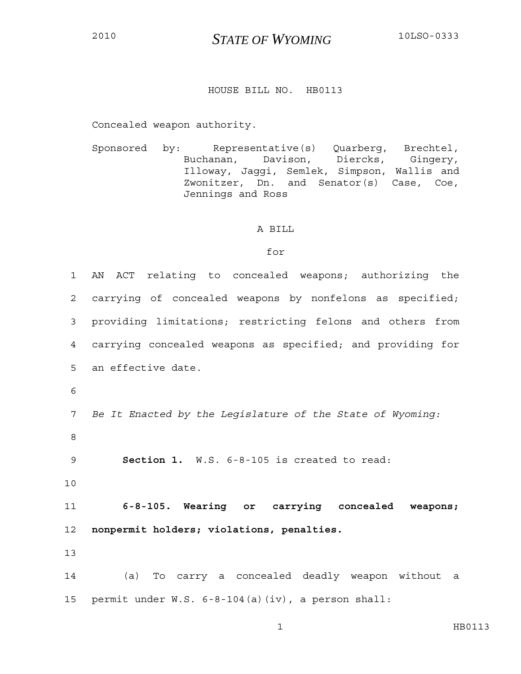## <sup>2010</sup>*STATE OF WYOMING* 10LSO-0333

## HOUSE BILL NO. HB0113

Concealed weapon authority.

Sponsored by: Representative(s) Quarberg, Brechtel, Buchanan, Davison, Diercks, Gingery, Illoway, Jaggi, Semlek, Simpson, Wallis and Zwonitzer, Dn. and Senator(s) Case, Coe, Jennings and Ross

## A BILL

## for

| $\mathbf 1$     | AN ACT relating to concealed weapons; authorizing the      |  |  |
|-----------------|------------------------------------------------------------|--|--|
| $\overline{2}$  | carrying of concealed weapons by nonfelons as specified;   |  |  |
| 3               | providing limitations; restricting felons and others from  |  |  |
| $\overline{4}$  | carrying concealed weapons as specified; and providing for |  |  |
| 5               | an effective date.                                         |  |  |
| 6               |                                                            |  |  |
| $7\phantom{.0}$ | Be It Enacted by the Legislature of the State of Wyoming:  |  |  |
| 8               |                                                            |  |  |
| 9               | Section 1. W.S. 6-8-105 is created to read:                |  |  |
| 10              |                                                            |  |  |
| 11              | 6-8-105. Wearing or carrying concealed weapons;            |  |  |
| 12 <sub>1</sub> | nonpermit holders; violations, penalties.                  |  |  |
| 13              |                                                            |  |  |
| 14              | (a) To carry a concealed deadly weapon without<br>a        |  |  |
| 15              | permit under W.S. 6-8-104(a)(iv), a person shall:          |  |  |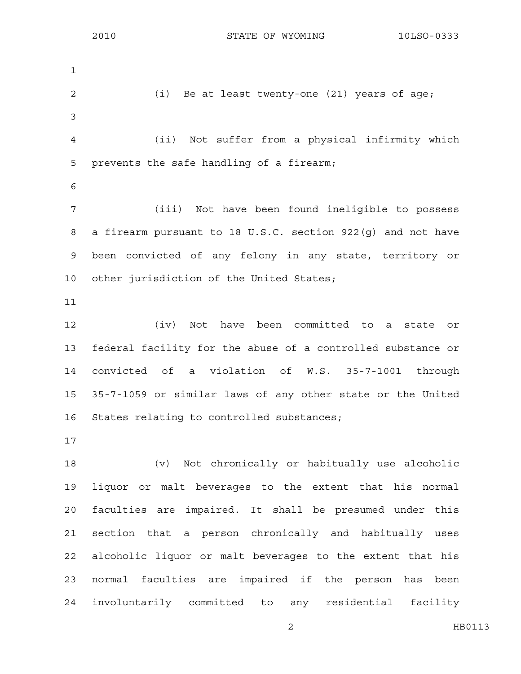1 2 (i) Be at least twenty-one (21) years of age; 3 4 (ii) Not suffer from a physical infirmity which 5 prevents the safe handling of a firearm; 6 7 (iii) Not have been found ineligible to possess 8 a firearm pursuant to 18 U.S.C. section 922(g) and not have 9 been convicted of any felony in any state, territory or 10 other jurisdiction of the United States; 11 12 (iv) Not have been committed to a state or 13 federal facility for the abuse of a controlled substance or 14 convicted of a violation of W.S. 35-7-1001 through 15 35-7-1059 or similar laws of any other state or the United 16 States relating to controlled substances; 17 18 (v) Not chronically or habitually use alcoholic 19 liquor or malt beverages to the extent that his normal 20 faculties are impaired. It shall be presumed under this 21 section that a person chronically and habitually uses 22 alcoholic liquor or malt beverages to the extent that his 23 normal faculties are impaired if the person has been 24 involuntarily committed to any residential facility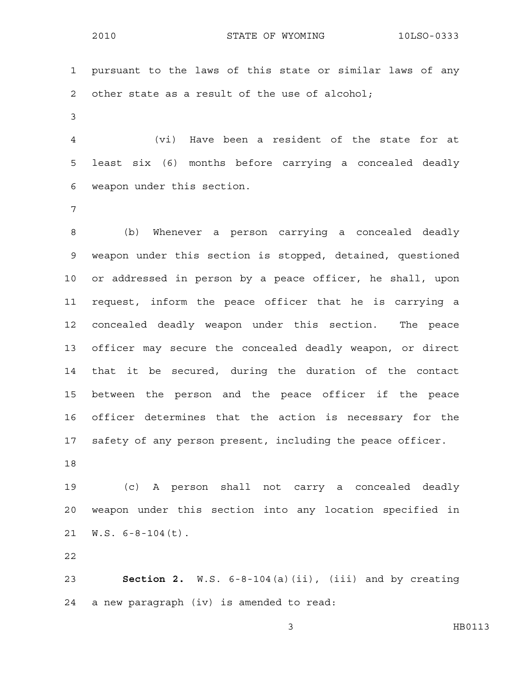2010 STATE OF WYOMING 10LSO-0333

1 pursuant to the laws of this state or similar laws of any 2 other state as a result of the use of alcohol;

3

4 (vi) Have been a resident of the state for at 5 least six (6) months before carrying a concealed deadly 6 weapon under this section.

7

8 (b) Whenever a person carrying a concealed deadly 9 weapon under this section is stopped, detained, questioned 10 or addressed in person by a peace officer, he shall, upon 11 request, inform the peace officer that he is carrying a 12 concealed deadly weapon under this section. The peace 13 officer may secure the concealed deadly weapon, or direct 14 that it be secured, during the duration of the contact 15 between the person and the peace officer if the peace 16 officer determines that the action is necessary for the 17 safety of any person present, including the peace officer.

18

19 (c) A person shall not carry a concealed deadly 20 weapon under this section into any location specified in 21 W.S. 6-8-104(t).

22

23 **Section 2.** W.S. 6-8-104(a)(ii), (iii) and by creating 24 a new paragraph (iv) is amended to read: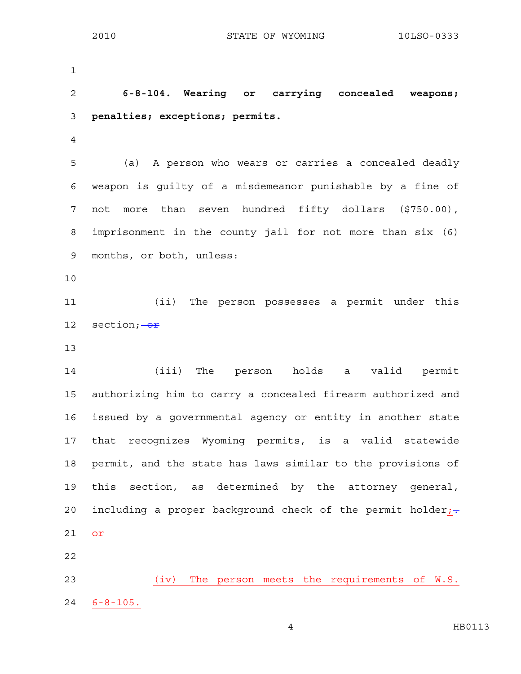1 2 **6-8-104. Wearing or carrying concealed weapons;**  3 **penalties; exceptions; permits.**  4 5 (a) A person who wears or carries a concealed deadly 6 weapon is guilty of a misdemeanor punishable by a fine of 7 not more than seven hundred fifty dollars (\$750.00), 8 imprisonment in the county jail for not more than six (6) 9 months, or both, unless: 10 11 (ii) The person possesses a permit under this 12 section; $-\theta r$ 13 14 (iii) The person holds a valid permit 15 authorizing him to carry a concealed firearm authorized and 16 issued by a governmental agency or entity in another state 17 that recognizes Wyoming permits, is a valid statewide 18 permit, and the state has laws similar to the provisions of 19 this section, as determined by the attorney general, 20 including a proper background check of the permit holder; $\div$ 21 or 22 23 (iv) The person meets the requirements of W.S. 24 6-8-105.